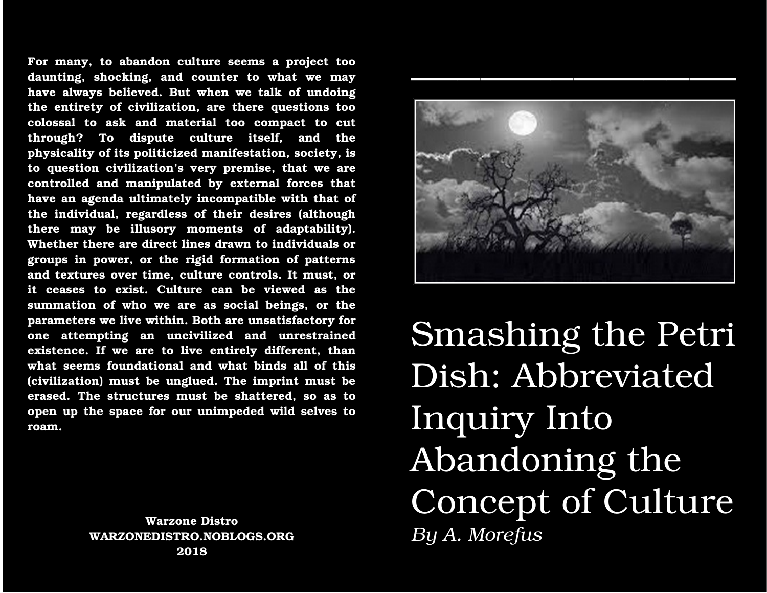**For many, to abandon culture seems a project too daunting, shocking, and counter to what we may have always believed. But when we talk of undoing the entirety of civilization, are there questions too colossal to ask and material too compact to cut through? To dispute culture itself, and the physicality of its politicized manifestation, society, is to question civilization's very premise, that we are controlled and manipulated by external forces that have an agenda ultimately incompatible with that of the individual, regardless of their desires (although there may be illusory moments of adaptability). Whether there are direct lines drawn to individuals or groups in power, or the rigid formation of patterns and textures over time, culture controls. It must, or it ceases to exist. Culture can be viewed as the summation of who we are as social beings, or the parameters we live within. Both are unsatisfactory for one attempting an uncivilized and unrestrained existence. If we are to live entirely different, than what seems foundational and what binds all of this (civilization) must be unglued. The imprint must be erased. The structures must be shattered, so as to open up the space for our unimpeded wild selves to roam.** 

> **Warzone Distro WARZONEDISTRO.NOBLOGS.ORG 2018**



Smashing the Petri Dish: Abbreviated Inquiry Into Abandoning the Concept of Culture *By A. Morefus*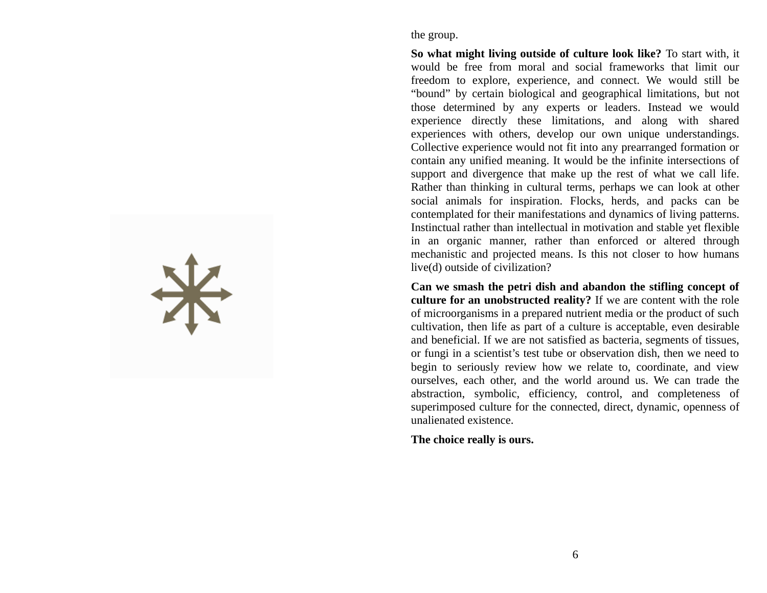the group.

**So what might living outside of culture look like?** To start with, it would be free from moral and social frameworks that limit our freedom to explore, experience, and connect. We would still be "bound" by certain biological and geographical limitations, but not those determined by any experts or leaders. Instead we would experience directly these limitations, and along with shared experiences with others, develop our own unique understandings. Collective experience would not fit into any prearranged formation or contain any unified meaning. It would be the infinite intersections of support and divergence that make up the rest of what we call life. Rather than thinking in cultural terms, perhaps we can look at other social animals for inspiration. Flocks, herds, and packs can be contemplated for their manifestations and dynamics of living patterns. Instinctual rather than intellectual in motivation and stable yet flexible in an organic manner, rather than enforced or altered through mechanistic and projected means. Is this not closer to how humans live(d) outside of civilization?

**Can we smash the petri dish and abandon the stifling concept of culture for an unobstructed reality?** If we are content with the role of microorganisms in a prepared nutrient media or the product of such cultivation, then life as part of a culture is acceptable, even desirable and beneficial. If we are not satisfied as bacteria, segments of tissues, or fungi in a scientist's test tube or observation dish, then we need to begin to seriously review how we relate to, coordinate, and view ourselves, each other, and the world around us. We can trade the abstraction, symbolic, efficiency, control, and completeness of superimposed culture for the connected, direct, dynamic, openness of unalienated existence.

**The choice really is ours.**

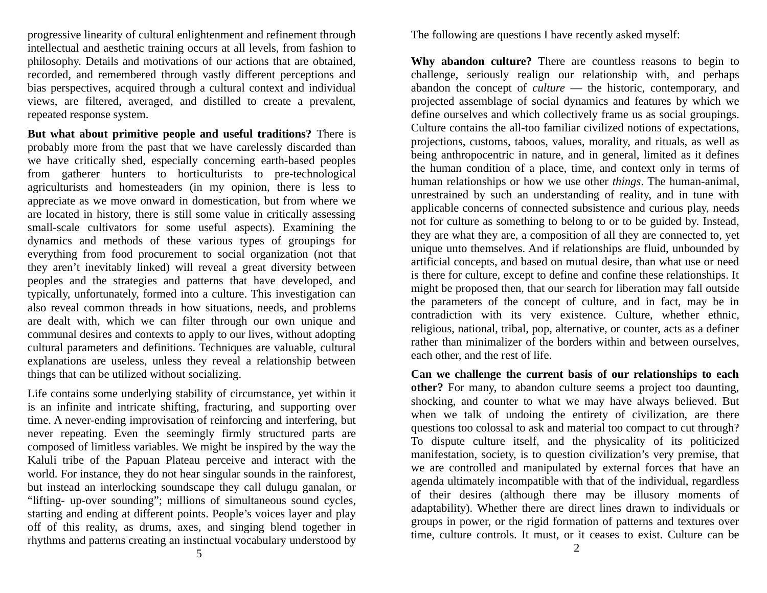progressive linearity of cultural enlightenment and refinement through intellectual and aesthetic training occurs at all levels, from fashion to philosophy. Details and motivations of our actions that are obtained, recorded, and remembered through vastly different perceptions and bias perspectives, acquired through a cultural context and individual views, are filtered, averaged, and distilled to create a prevalent, repeated response system.

**But what about primitive people and useful traditions?** There is probably more from the past that we have carelessly discarded than we have critically shed, especially concerning earth-based peoples from gatherer hunters to horticulturists to pre-technological agriculturists and homesteaders (in my opinion, there is less to appreciate as we move onward in domestication, but from where we are located in history, there is still some value in critically assessing small-scale cultivators for some useful aspects). Examining the dynamics and methods of these various types of groupings for everything from food procurement to social organization (not that they aren't inevitably linked) will reveal a great diversity between peoples and the strategies and patterns that have developed, and typically, unfortunately, formed into a culture. This investigation can also reveal common threads in how situations, needs, and problems are dealt with, which we can filter through our own unique and communal desires and contexts to apply to our lives, without adopting cultural parameters and definitions. Techniques are valuable, cultural explanations are useless, unless they reveal a relationship between things that can be utilized without socializing.

Life contains some underlying stability of circumstance, yet within it is an infinite and intricate shifting, fracturing, and supporting over time. A never-ending improvisation of reinforcing and interfering, but never repeating. Even the seemingly firmly structured parts are composed of limitless variables. We might be inspired by the way the Kaluli tribe of the Papuan Plateau perceive and interact with the world. For instance, they do not hear singular sounds in the rainforest, but instead an interlocking soundscape they call dulugu ganalan, or "lifting- up-over sounding"; millions of simultaneous sound cycles, starting and ending at different points. People's voices layer and play off of this reality, as drums, axes, and singing blend together in rhythms and patterns creating an instinctual vocabulary understood by The following are questions I have recently asked myself:

**Why abandon culture?** There are countless reasons to begin to challenge, seriously realign our relationship with, and perhaps abandon the concept of *culture* — the historic, contemporary, and projected assemblage of social dynamics and features by which we define ourselves and which collectively frame us as social groupings. Culture contains the all-too familiar civilized notions of expectations, projections, customs, taboos, values, morality, and rituals, as well as being anthropocentric in nature, and in general, limited as it defines the human condition of a place, time, and context only in terms of human relationships or how we use other *things*. The human-animal, unrestrained by such an understanding of reality, and in tune with applicable concerns of connected subsistence and curious play, needs not for culture as something to belong to or to be guided by. Instead, they are what they are, a composition of all they are connected to, yet unique unto themselves. And if relationships are fluid, unbounded by artificial concepts, and based on mutual desire, than what use or need is there for culture, except to define and confine these relationships. It might be proposed then, that our search for liberation may fall outside the parameters of the concept of culture, and in fact, may be in contradiction with its very existence. Culture, whether ethnic, religious, national, tribal, pop, alternative, or counter, acts as a definer rather than minimalizer of the borders within and between ourselves, each other, and the rest of life.

**Can we challenge the current basis of our relationships to each other?** For many, to abandon culture seems a project too daunting, shocking, and counter to what we may have always believed. But when we talk of undoing the entirety of civilization, are there questions too colossal to ask and material too compact to cut through? To dispute culture itself, and the physicality of its politicized manifestation, society, is to question civilization's very premise, that we are controlled and manipulated by external forces that have an agenda ultimately incompatible with that of the individual, regardless of their desires (although there may be illusory moments of adaptability). Whether there are direct lines drawn to individuals or groups in power, or the rigid formation of patterns and textures over time, culture controls. It must, or it ceases to exist. Culture can be